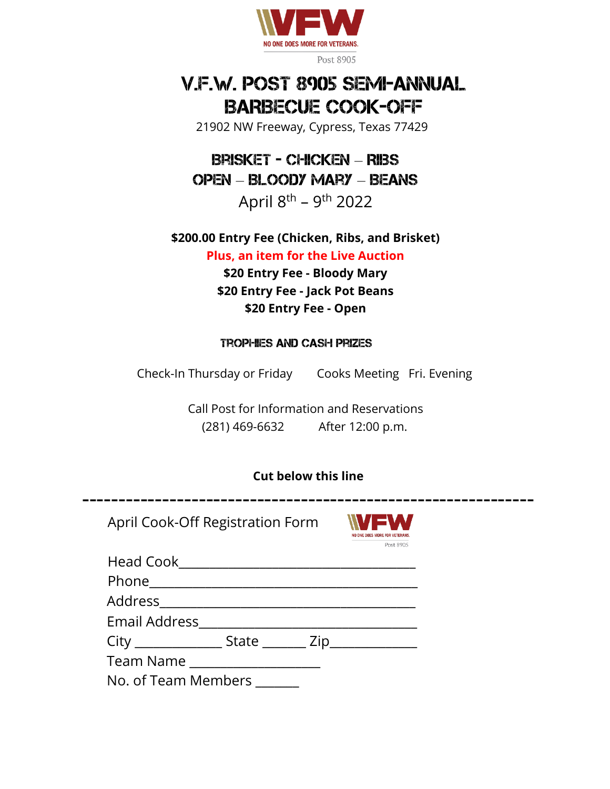

# V.F.W. POST 8905 SEMI-ANNUAL BARBECUE COOK-OFF

21902 NW Freeway, Cypress, Texas 77429

Brisket - Chicken – RIibs Open – Bloody Mary – Beans

April 8<sup>th</sup> – 9<sup>th</sup> 2022

**\$200.00 Entry Fee (Chicken, Ribs, and Brisket) Plus, an item for the Live Auction \$20 Entry Fee - Bloody Mary \$20 Entry Fee - Jack Pot Beans \$20 Entry Fee - Open**

### Trophies and Cash Prizes

Check-In Thursday or Friday Cooks Meeting Fri. Evening

Call Post for Information and Reservations (281) 469-6632 After 12:00 p.m.

## **Cut below this line**

**--------------------------------------------------------------**

April Cook-Off Registration Form



| Head Cook_                                             |  |  |
|--------------------------------------------------------|--|--|
|                                                        |  |  |
| Address_________________________                       |  |  |
| Email Address <b>Email</b>                             |  |  |
| City ________________ State ________ Zip______________ |  |  |
| Team Name                                              |  |  |
| No. of Team Members ______                             |  |  |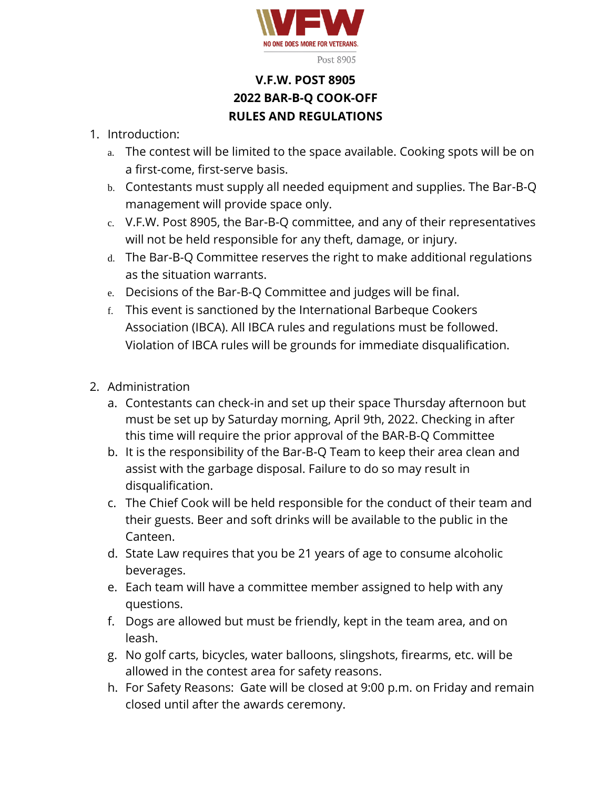

# **V.F.W. POST 8905 2022 BAR-B-Q COOK-OFF RULES AND REGULATIONS**

## 1. Introduction:

- a. The contest will be limited to the space available. Cooking spots will be on a first-come, first-serve basis.
- b. Contestants must supply all needed equipment and supplies. The Bar-B-Q management will provide space only.
- c. V.F.W. Post 8905, the Bar-B-Q committee, and any of their representatives will not be held responsible for any theft, damage, or injury.
- d. The Bar-B-Q Committee reserves the right to make additional regulations as the situation warrants.
- e. Decisions of the Bar-B-Q Committee and judges will be final.
- f. This event is sanctioned by the International Barbeque Cookers Association (IBCA). All IBCA rules and regulations must be followed. Violation of IBCA rules will be grounds for immediate disqualification.
- 2. Administration
	- a. Contestants can check-in and set up their space Thursday afternoon but must be set up by Saturday morning, April 9th, 2022. Checking in after this time will require the prior approval of the BAR-B-Q Committee
	- b. It is the responsibility of the Bar-B-Q Team to keep their area clean and assist with the garbage disposal. Failure to do so may result in disqualification.
	- c. The Chief Cook will be held responsible for the conduct of their team and their guests. Beer and soft drinks will be available to the public in the Canteen.
	- d. State Law requires that you be 21 years of age to consume alcoholic beverages.
	- e. Each team will have a committee member assigned to help with any questions.
	- f. Dogs are allowed but must be friendly, kept in the team area, and on leash.
	- g. No golf carts, bicycles, water balloons, slingshots, firearms, etc. will be allowed in the contest area for safety reasons.
	- h. For Safety Reasons: Gate will be closed at 9:00 p.m. on Friday and remain closed until after the awards ceremony.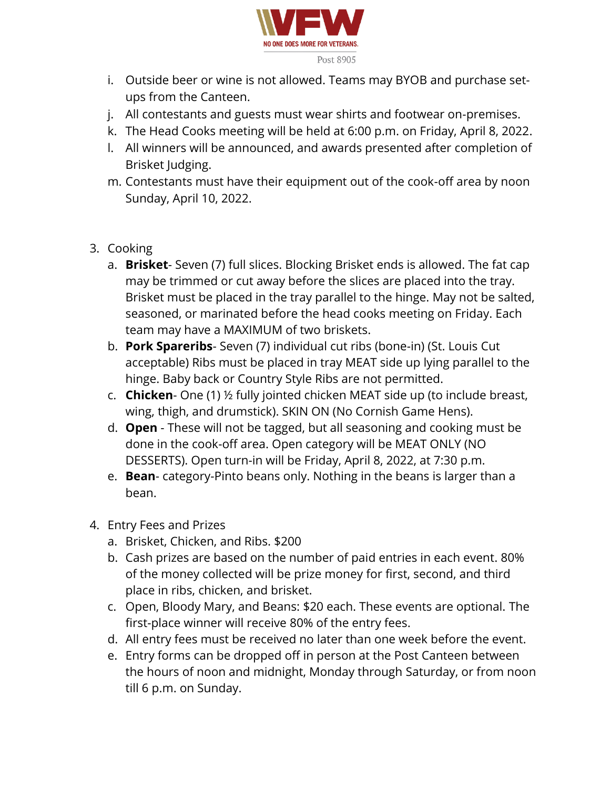

- i. Outside beer or wine is not allowed. Teams may BYOB and purchase setups from the Canteen.
- j. All contestants and guests must wear shirts and footwear on-premises.
- k. The Head Cooks meeting will be held at 6:00 p.m. on Friday, April 8, 2022.
- l. All winners will be announced, and awards presented after completion of Brisket Judging.
- m. Contestants must have their equipment out of the cook-off area by noon Sunday, April 10, 2022.
- 3. Cooking
	- a. **Brisket** Seven (7) full slices. Blocking Brisket ends is allowed. The fat cap may be trimmed or cut away before the slices are placed into the tray. Brisket must be placed in the tray parallel to the hinge. May not be salted, seasoned, or marinated before the head cooks meeting on Friday. Each team may have a MAXIMUM of two briskets.
	- b. **Pork Spareribs** Seven (7) individual cut ribs (bone-in) (St. Louis Cut acceptable) Ribs must be placed in tray MEAT side up lying parallel to the hinge. Baby back or Country Style Ribs are not permitted.
	- c. **Chicken** One (1) ½ fully jointed chicken MEAT side up (to include breast, wing, thigh, and drumstick). SKIN ON (No Cornish Game Hens).
	- d. **Open** These will not be tagged, but all seasoning and cooking must be done in the cook-off area. Open category will be MEAT ONLY (NO DESSERTS). Open turn-in will be Friday, April 8, 2022, at 7:30 p.m.
	- e. **Bean** category-Pinto beans only. Nothing in the beans is larger than a bean.
- 4. Entry Fees and Prizes
	- a. Brisket, Chicken, and Ribs. \$200
	- b. Cash prizes are based on the number of paid entries in each event. 80% of the money collected will be prize money for first, second, and third place in ribs, chicken, and brisket.
	- c. Open, Bloody Mary, and Beans: \$20 each. These events are optional. The first-place winner will receive 80% of the entry fees.
	- d. All entry fees must be received no later than one week before the event.
	- e. Entry forms can be dropped off in person at the Post Canteen between the hours of noon and midnight, Monday through Saturday, or from noon till 6 p.m. on Sunday.